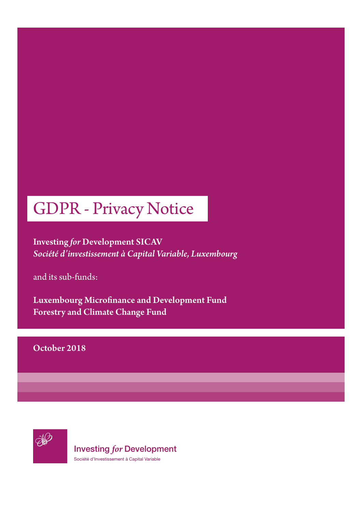# GDPR - Privacy Notice

Investing *for* Development SICAV *Société d'investissement à Capital Variable, Luxembourg*

and its sub-funds:

Luxembourg Microfinance and Development Fund Forestry and Climate Change Fund

### October 2018



Investing *for* Development Société d'Investissement à Capital Variable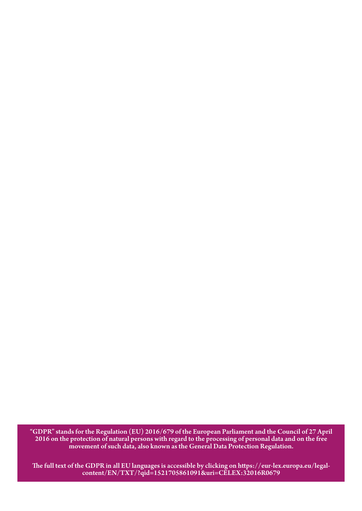"GDPR" stands for the Regulation (EU) 2016/679 of the European Parliament and the Council of 27 April 2016 on the protection of natural persons with regard to the processing of personal data and on the free movement of such data, also known as the General Data Protection Regulation.

The full text of the GDPR in all EU languages is accessible by clicking on https://eur-lex.europa.eu/legalcontent/EN/TXT/?qid=1521705861091&uri=CELEX:32016R0679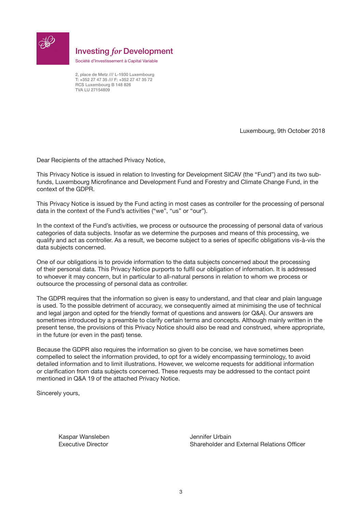

### Investing *for* Development

Société d'Investissement à Capital Variable

2, place de Metz /// L-1930 Luxembourg T: +352 27 47 35 /// F: +352 27 47 35 72 RCS Luxembourg B 148 826 TVA LU 27154809

Luxembourg, 9th October 2018

Dear Recipients of the attached Privacy Notice,

This Privacy Notice is issued in relation to Investing for Development SICAV (the "Fund") and its two subfunds, Luxembourg Microfinance and Development Fund and Forestry and Climate Change Fund, in the context of the GDPR.

This Privacy Notice is issued by the Fund acting in most cases as controller for the processing of personal data in the context of the Fund's activities ("we", "us" or "our").

In the context of the Fund's activities, we process or outsource the processing of personal data of various categories of data subjects. Insofar as we determine the purposes and means of this processing, we qualify and act as controller. As a result, we become subject to a series of specific obligations vis-à-vis the data subjects concerned.

One of our obligations is to provide information to the data subjects concerned about the processing of their personal data. This Privacy Notice purports to fulfil our obligation of information. It is addressed to whoever it may concern, but in particular to all-natural persons in relation to whom we process or outsource the processing of personal data as controller.

The GDPR requires that the information so given is easy to understand, and that clear and plain language is used. To the possible detriment of accuracy, we consequently aimed at minimising the use of technical and legal jargon and opted for the friendly format of questions and answers (or Q&A). Our answers are sometimes introduced by a preamble to clarify certain terms and concepts. Although mainly written in the present tense, the provisions of this Privacy Notice should also be read and construed, where appropriate, in the future (or even in the past) tense.

Because the GDPR also requires the information so given to be concise, we have sometimes been compelled to select the information provided, to opt for a widely encompassing terminology, to avoid detailed information and to limit illustrations. However, we welcome requests for additional information or clarification from data subjects concerned. These requests may be addressed to the contact point mentioned in Q&A 19 of the attached Privacy Notice.

Sincerely yours,

Kaspar Wansleben **Grauben** Jennifer Urbain

Executive Director Shareholder and External Relations Officer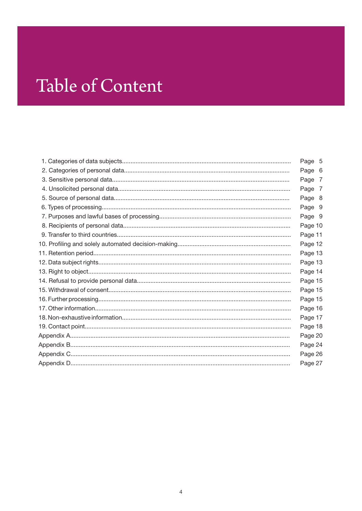# Table of Content

| Page 5  |  |
|---------|--|
| Page 6  |  |
| Page 7  |  |
| Page 7  |  |
| Page 8  |  |
| Page 9  |  |
| Page 9  |  |
| Page 10 |  |
| Page 11 |  |
| Page 12 |  |
| Page 13 |  |
| Page 13 |  |
| Page 14 |  |
| Page 15 |  |
| Page 15 |  |
| Page 15 |  |
| Page 16 |  |
| Page 17 |  |
| Page 18 |  |
| Page 20 |  |
| Page 24 |  |
| Page 26 |  |
| Page 27 |  |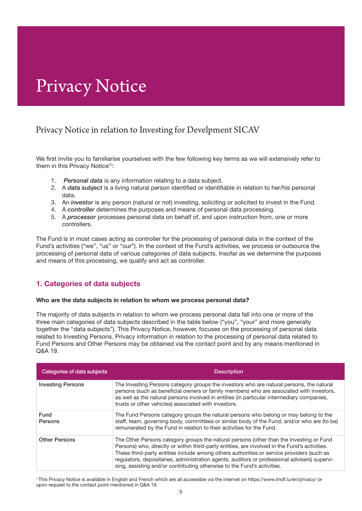## Privacy Notice

### Privacy Notice in relation to Investing for Develpment SICAV

We first invite you to familiarise yourselves with the few following key terms as we will extensively refer to them in this Privacy Notice<sup>(1)</sup>:

- 1. *Personal data* is any information relating to a data subject.
- 2. A *data subject* is a living natural person identified or identifiable in relation to her/his personal data.
- 3. An *investor* is any person (natural or not) investing, soliciting or solicited to invest in the Fund.
- 4. A *controller* determines the purposes and means of personal data processing.
- 5. A *processor* processes personal data on behalf of, and upon instruction from, one or more controllers.

The Fund is in most cases acting as controller for the processing of personal data in the context of the Fund's activities ("we", "us" or "our"). In the context of the Fund's activities, we process or outsource the processing of personal data of various categories of data subjects. Insofar as we determine the purposes and means of this processing, we qualify and act as controller.

#### 1. Categories of data subjects

#### Who are the data subjects in relation to whom we process personal data?

The majority of data subjects in relation to whom we process personal data fall into one or more of the three main categories of data subjects described in the table below ("you", "your" and more generally together the "data subjects"). This Privacy Notice, however, focuses on the processing of personal data related to Investing Persons. Privacy information in relation to the processing of personal data related to Fund Persons and Other Persons may be obtained via the contact point and by any means mentioned in Q&A 19.

| Categories of data subjects | <b>Description</b>                                                                                                                                                                                                                                                                                                                                                                                                                                               |
|-----------------------------|------------------------------------------------------------------------------------------------------------------------------------------------------------------------------------------------------------------------------------------------------------------------------------------------------------------------------------------------------------------------------------------------------------------------------------------------------------------|
| <b>Investing Persons</b>    | The Investing Persons category groups the investors who are natural persons, the natural<br>persons (such as beneficial owners or family members) who are associated with investors,<br>as well as the natural persons involved in entities (in particular intermediary companies,<br>trusts or other vehicles) associated with investors.                                                                                                                       |
| Fund<br>Persons             | The Fund Persons category groups the natural persons who belong or may belong to the<br>staff, team, governing body, committees or similar body of the Fund; and/or who are (to be)<br>remunerated by the Fund in relation to their activities for the Fund.                                                                                                                                                                                                     |
| <b>Other Persons</b>        | The Other Persons category groups the natural persons (other than the Investing or Fund<br>Persons) who, directly or within third-party entities, are involved in the Fund's activities.<br>These third-party entities include among others authorities or service providers (such as<br>regulators, depositaries, administration agents, auditors or professional advisers) supervi-<br>sing, assisting and/or contributing otherwise to the Fund's activities. |

1 This Privacy Notice is available in English and French which are all accessible via the internet on https://www.lmdf.lu/en/privacy/ or upon request to the contact point mentioned in Q&A 19.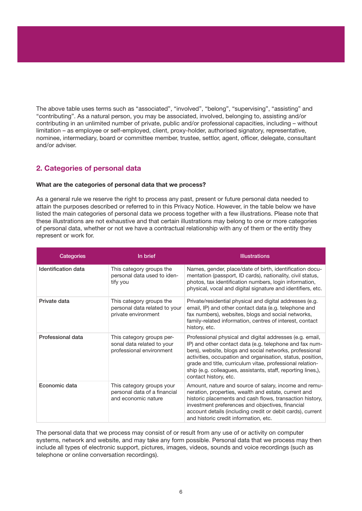The above table uses terms such as "associated", "involved", "belong", "supervising", "assisting" and "contributing". As a natural person, you may be associated, involved, belonging to, assisting and/or contributing in an unlimited number of private, public and/or professional capacities, including – without limitation – as employee or self-employed, client, proxy-holder, authorised signatory, representative, nominee, intermediary, board or committee member, trustee, settlor, agent, officer, delegate, consultant and/or adviser.

#### 2. Categories of personal data

#### What are the categories of personal data that we process?

As a general rule we reserve the right to process any past, present or future personal data needed to attain the purposes described or referred to in this Privacy Notice. However, in the table below we have listed the main categories of personal data we process together with a few illustrations. Please note that these illustrations are not exhaustive and that certain illustrations may belong to one or more categories of personal data, whether or not we have a contractual relationship with any of them or the entity they represent or work for.

| Categories          | In brief                                                                            | <b>Illustrations</b>                                                                                                                                                                                                                                                                                                                                                                               |
|---------------------|-------------------------------------------------------------------------------------|----------------------------------------------------------------------------------------------------------------------------------------------------------------------------------------------------------------------------------------------------------------------------------------------------------------------------------------------------------------------------------------------------|
| Identification data | This category groups the<br>personal data used to iden-<br>tify you                 | Names, gender, place/date of birth, identification docu-<br>mentation (passport, ID cards), nationality, civil status,<br>photos, tax identification numbers, login information,<br>physical, vocal and digital signature and identifiers, etc.                                                                                                                                                    |
| Private data        | This category groups the<br>personal data related to your<br>private environment    | Private/residential physical and digital addresses (e.g.<br>email, IP) and other contact data (e.g. telephone and<br>fax numbers), websites, blogs and social networks,<br>family-related information, centres of interest, contact<br>history, etc.                                                                                                                                               |
| Professional data   | This category groups per-<br>sonal data related to your<br>professional environment | Professional physical and digital addresses (e.g. email,<br>IP) and other contact data (e.g. telephone and fax num-<br>bers), website, blogs and social networks, professional<br>activities, occupation and organisation, status, position,<br>grade and title, curriculum vitae, professional relation-<br>ship (e.g. colleagues, assistants, staff, reporting lines,),<br>contact history, etc. |
| Economic data       | This category groups your<br>personal data of a financial<br>and economic nature    | Amount, nature and source of salary, income and remu-<br>neration, properties, wealth and estate, current and<br>historic placements and cash flows, transaction history,<br>investment preferences and objectives, financial<br>account details (including credit or debit cards), current<br>and historic credit information, etc.                                                               |

The personal data that we process may consist of or result from any use of or activity on computer systems, network and website, and may take any form possible. Personal data that we process may then include all types of electronic support, pictures, images, videos, sounds and voice recordings (such as telephone or online conversation recordings).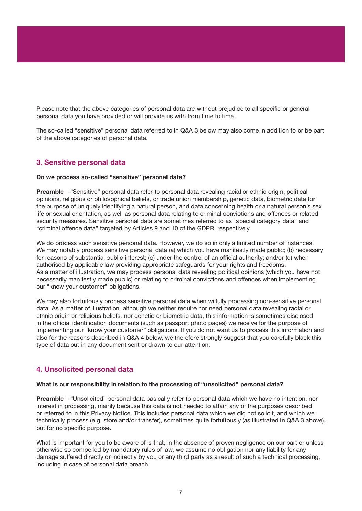Please note that the above categories of personal data are without prejudice to all specific or general personal data you have provided or will provide us with from time to time.

The so-called "sensitive" personal data referred to in Q&A 3 below may also come in addition to or be part of the above categories of personal data.

#### 3. Sensitive personal data

#### Do we process so-called "sensitive" personal data?

Preamble – "Sensitive" personal data refer to personal data revealing racial or ethnic origin, political opinions, religious or philosophical beliefs, or trade union membership, genetic data, biometric data for the purpose of uniquely identifying a natural person, and data concerning health or a natural person's sex life or sexual orientation, as well as personal data relating to criminal convictions and offences or related security measures. Sensitive personal data are sometimes referred to as "special category data" and "criminal offence data" targeted by Articles 9 and 10 of the GDPR, respectively.

We do process such sensitive personal data. However, we do so in only a limited number of instances. We may notably process sensitive personal data (a) which you have manifestly made public; (b) necessary for reasons of substantial public interest; (c) under the control of an official authority; and/or (d) when authorised by applicable law providing appropriate safeguards for your rights and freedoms. As a matter of illustration, we may process personal data revealing political opinions (which you have not necessarily manifestly made public) or relating to criminal convictions and offences when implementing our "know your customer" obligations.

We may also fortuitously process sensitive personal data when wilfully processing non-sensitive personal data. As a matter of illustration, although we neither require nor need personal data revealing racial or ethnic origin or religious beliefs, nor genetic or biometric data, this information is sometimes disclosed in the official identification documents (such as passport photo pages) we receive for the purpose of implementing our "know your customer" obligations. If you do not want us to process this information and also for the reasons described in Q&A 4 below, we therefore strongly suggest that you carefully black this type of data out in any document sent or drawn to our attention.

#### 4. Unsolicited personal data

#### What is our responsibility in relation to the processing of "unsolicited" personal data?

**Preamble** – "Unsolicited" personal data basically refer to personal data which we have no intention, nor interest in processing, mainly because this data is not needed to attain any of the purposes described or referred to in this Privacy Notice. This includes personal data which we did not solicit, and which we technically process (e.g. store and/or transfer), sometimes quite fortuitously (as illustrated in Q&A 3 above), but for no specific purpose.

What is important for you to be aware of is that, in the absence of proven negligence on our part or unless otherwise so compelled by mandatory rules of law, we assume no obligation nor any liability for any damage suffered directly or indirectly by you or any third party as a result of such a technical processing, including in case of personal data breach.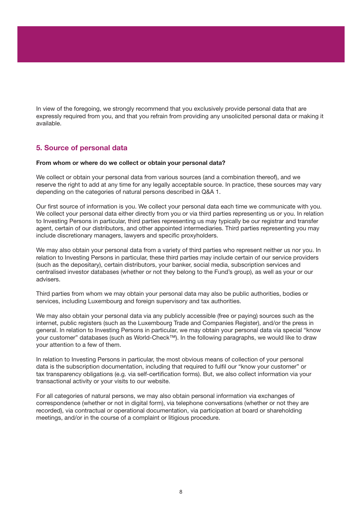In view of the foregoing, we strongly recommend that you exclusively provide personal data that are expressly required from you, and that you refrain from providing any unsolicited personal data or making it available.

#### 5. Source of personal data

#### From whom or where do we collect or obtain your personal data?

We collect or obtain your personal data from various sources (and a combination thereof), and we reserve the right to add at any time for any legally acceptable source. In practice, these sources may vary depending on the categories of natural persons described in Q&A 1.

Our first source of information is you. We collect your personal data each time we communicate with you. We collect your personal data either directly from you or via third parties representing us or you. In relation to Investing Persons in particular, third parties representing us may typically be our registrar and transfer agent, certain of our distributors, and other appointed intermediaries. Third parties representing you may include discretionary managers, lawyers and specific proxyholders.

We may also obtain your personal data from a variety of third parties who represent neither us nor you. In relation to Investing Persons in particular, these third parties may include certain of our service providers (such as the depositary), certain distributors, your banker, social media, subscription services and centralised investor databases (whether or not they belong to the Fund's group), as well as your or our advisers.

Third parties from whom we may obtain your personal data may also be public authorities, bodies or services, including Luxembourg and foreign supervisory and tax authorities.

We may also obtain your personal data via any publicly accessible (free or paying) sources such as the internet, public registers (such as the Luxembourg Trade and Companies Register), and/or the press in general. In relation to Investing Persons in particular, we may obtain your personal data via special "know your customer" databases (such as World-Check™). In the following paragraphs, we would like to draw your attention to a few of them.

In relation to Investing Persons in particular, the most obvious means of collection of your personal data is the subscription documentation, including that required to fulfil our "know your customer" or tax transparency obligations (e.g. via self-certification forms). But, we also collect information via your transactional activity or your visits to our website.

For all categories of natural persons, we may also obtain personal information via exchanges of correspondence (whether or not in digital form), via telephone conversations (whether or not they are recorded), via contractual or operational documentation, via participation at board or shareholding meetings, and/or in the course of a complaint or litigious procedure.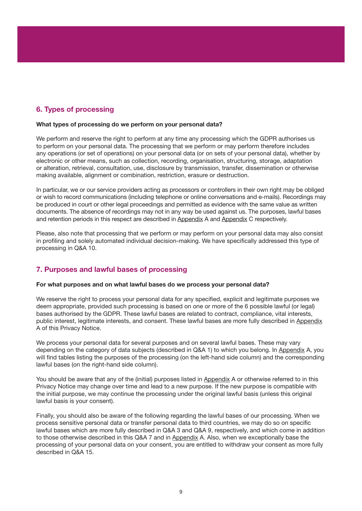#### 6. Types of processing

#### What types of processing do we perform on your personal data?

We perform and reserve the right to perform at any time any processing which the GDPR authorises us to perform on your personal data. The processing that we perform or may perform therefore includes any operations (or set of operations) on your personal data (or on sets of your personal data), whether by electronic or other means, such as collection, recording, organisation, structuring, storage, adaptation or alteration, retrieval, consultation, use, disclosure by transmission, transfer, dissemination or otherwise making available, alignment or combination, restriction, erasure or destruction.

In particular, we or our service providers acting as processors or controllers in their own right may be obliged or wish to record communications (including telephone or online conversations and e-mails). Recordings may be produced in court or other legal proceedings and permitted as evidence with the same value as written documents. The absence of recordings may not in any way be used against us. The purposes, lawful bases and retention periods in this respect are described in Appendix A and Appendix C respectively.

Please, also note that processing that we perform or may perform on your personal data may also consist in profiling and solely automated individual decision-making. We have specifically addressed this type of processing in Q&A 10.

#### 7. Purposes and lawful bases of processing

#### For what purposes and on what lawful bases do we process your personal data?

We reserve the right to process your personal data for any specified, explicit and legitimate purposes we deem appropriate, provided such processing is based on one or more of the 6 possible lawful (or legal) bases authorised by the GDPR. These lawful bases are related to contract, compliance, vital interests, public interest, legitimate interests, and consent. These lawful bases are more fully described in Appendix A of this Privacy Notice.

We process your personal data for several purposes and on several lawful bases. These may vary depending on the category of data subjects (described in Q&A 1) to which you belong. In Appendix A, you will find tables listing the purposes of the processing (on the left-hand side column) and the corresponding lawful bases (on the right-hand side column).

You should be aware that any of the (initial) purposes listed in Appendix A or otherwise referred to in this Privacy Notice may change over time and lead to a new purpose. If the new purpose is compatible with the initial purpose, we may continue the processing under the original lawful basis (unless this original lawful basis is your consent).

Finally, you should also be aware of the following regarding the lawful bases of our processing. When we process sensitive personal data or transfer personal data to third countries, we may do so on specific lawful bases which are more fully described in Q&A 3 and Q&A 9, respectively, and which come in addition to those otherwise described in this Q&A 7 and in Appendix A. Also, when we exceptionally base the processing of your personal data on your consent, you are entitled to withdraw your consent as more fully described in Q&A 15.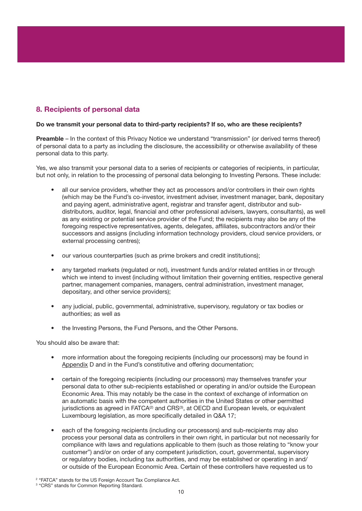### 8. Recipients of personal data

#### Do we transmit your personal data to third-party recipients? If so, who are these recipients?

Preamble – In the context of this Privacy Notice we understand "transmission" (or derived terms thereof) of personal data to a party as including the disclosure, the accessibility or otherwise availability of these personal data to this party.

Yes, we also transmit your personal data to a series of recipients or categories of recipients, in particular, but not only, in relation to the processing of personal data belonging to Investing Persons. These include:

- all our service providers, whether they act as processors and/or controllers in their own rights (which may be the Fund's co-investor, investment adviser, investment manager, bank, depositary and paying agent, administrative agent, registrar and transfer agent, distributor and subdistributors, auditor, legal, financial and other professional advisers, lawyers, consultants), as well as any existing or potential service provider of the Fund; the recipients may also be any of the foregoing respective representatives, agents, delegates, affiliates, subcontractors and/or their successors and assigns (including information technology providers, cloud service providers, or external processing centres);
- our various counterparties (such as prime brokers and credit institutions);
- any targeted markets (regulated or not), investment funds and/or related entities in or through which we intend to invest (including without limitation their governing entities, respective general partner, management companies, managers, central administration, investment manager, depositary, and other service providers);
- any judicial, public, governmental, administrative, supervisory, regulatory or tax bodies or authorities; as well as
- the Investing Persons, the Fund Persons, and the Other Persons.

You should also be aware that:

- more information about the foregoing recipients (including our processors) may be found in Appendix D and in the Fund's constitutive and offering documentation;
- certain of the foregoing recipients (including our processors) may themselves transfer your personal data to other sub-recipients established or operating in and/or outside the European Economic Area. This may notably be the case in the context of exchange of information on an automatic basis with the competent authorities in the United States or other permitted jurisdictions as agreed in  $FATCA^{(2)}$  and  $CRS^{(3)}$ , at OECD and European levels, or equivalent Luxembourg legislation, as more specifically detailed in Q&A 17;
- each of the foregoing recipients (including our processors) and sub-recipients may also process your personal data as controllers in their own right, in particular but not necessarily for compliance with laws and regulations applicable to them (such as those relating to "know your customer") and/or on order of any competent jurisdiction, court, governmental, supervisory or regulatory bodies, including tax authorities, and may be established or operating in and/ or outside of the European Economic Area. Certain of these controllers have requested us to

<sup>&</sup>lt;sup>2</sup> "FATCA" stands for the US Foreign Account Tax Compliance Act.

<sup>&</sup>lt;sup>3</sup> "CRS" stands for Common Reporting Standard.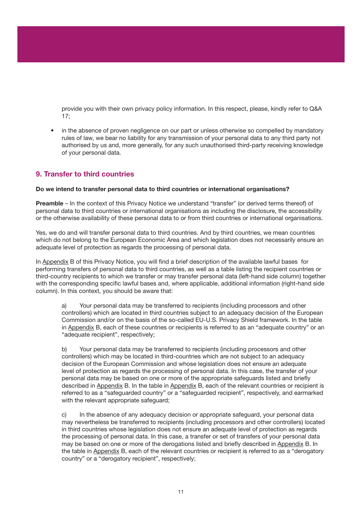provide you with their own privacy policy information. In this respect, please, kindly refer to Q&A 17;

in the absence of proven negligence on our part or unless otherwise so compelled by mandatory rules of law, we bear no liability for any transmission of your personal data to any third party not authorised by us and, more generally, for any such unauthorised third-party receiving knowledge of your personal data.

#### 9. Transfer to third countries

#### Do we intend to transfer personal data to third countries or international organisations?

Preamble – In the context of this Privacy Notice we understand "transfer" (or derived terms thereof) of personal data to third countries or international organisations as including the disclosure, the accessibility or the otherwise availability of these personal data to or from third countries or international organisations.

Yes, we do and will transfer personal data to third countries. And by third countries, we mean countries which do not belong to the European Economic Area and which legislation does not necessarily ensure an adequate level of protection as regards the processing of personal data.

In Appendix B of this Privacy Notice, you will find a brief description of the available lawful bases for performing transfers of personal data to third countries, as well as a table listing the recipient countries or third-country recipients to which we transfer or may transfer personal data (left-hand side column) together with the corresponding specific lawful bases and, where applicable, additional information (right-hand side column). In this context, you should be aware that:

a) Your personal data may be transferred to recipients (including processors and other controllers) which are located in third countries subject to an adequacy decision of the European Commission and/or on the basis of the so-called EU-U.S. Privacy Shield framework. In the table in Appendix B, each of these countries or recipients is referred to as an "adequate country" or an "adequate recipient", respectively;

b) Your personal data may be transferred to recipients (including processors and other controllers) which may be located in third-countries which are not subject to an adequacy decision of the European Commission and whose legislation does not ensure an adequate level of protection as regards the processing of personal data. In this case, the transfer of your personal data may be based on one or more of the appropriate safeguards listed and briefly described in Appendix B. In the table in Appendix B, each of the relevant countries or recipient is referred to as a "safeguarded country" or a "safeguarded recipient", respectively, and earmarked with the relevant appropriate safeguard;

c) In the absence of any adequacy decision or appropriate safeguard, your personal data may nevertheless be transferred to recipients (including processors and other controllers) located in third countries whose legislation does not ensure an adequate level of protection as regards the processing of personal data. In this case, a transfer or set of transfers of your personal data may be based on one or more of the derogations listed and briefly described in Appendix B. In the table in Appendix B, each of the relevant countries or recipient is referred to as a "derogatory country" or a "derogatory recipient", respectively;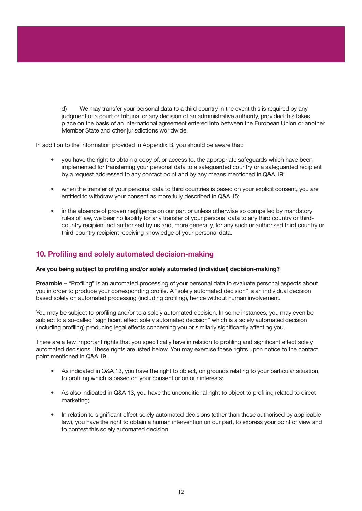d) We may transfer your personal data to a third country in the event this is required by any judgment of a court or tribunal or any decision of an administrative authority, provided this takes place on the basis of an international agreement entered into between the European Union or another Member State and other jurisdictions worldwide.

In addition to the information provided in Appendix B, you should be aware that:

- you have the right to obtain a copy of, or access to, the appropriate safeguards which have been implemented for transferring your personal data to a safeguarded country or a safeguarded recipient by a request addressed to any contact point and by any means mentioned in Q&A 19;
- when the transfer of your personal data to third countries is based on your explicit consent, you are entitled to withdraw your consent as more fully described in Q&A 15;
- in the absence of proven negligence on our part or unless otherwise so compelled by mandatory rules of law, we bear no liability for any transfer of your personal data to any third country or thirdcountry recipient not authorised by us and, more generally, for any such unauthorised third country or third-country recipient receiving knowledge of your personal data.

#### 10. Profiling and solely automated decision-making

#### Are you being subject to profiling and/or solely automated (individual) decision-making?

Preamble – "Profiling" is an automated processing of your personal data to evaluate personal aspects about you in order to produce your corresponding profile. A "solely automated decision" is an individual decision based solely on automated processing (including profiling), hence without human involvement.

You may be subject to profiling and/or to a solely automated decision. In some instances, you may even be subject to a so-called "significant effect solely automated decision" which is a solely automated decision (including profiling) producing legal effects concerning you or similarly significantly affecting you.

There are a few important rights that you specifically have in relation to profiling and significant effect solely automated decisions. These rights are listed below. You may exercise these rights upon notice to the contact point mentioned in Q&A 19.

- As indicated in Q&A 13, you have the right to object, on grounds relating to your particular situation, to profiling which is based on your consent or on our interests;
- As also indicated in Q&A 13, you have the unconditional right to object to profiling related to direct marketing;
- In relation to significant effect solely automated decisions (other than those authorised by applicable law), you have the right to obtain a human intervention on our part, to express your point of view and to contest this solely automated decision.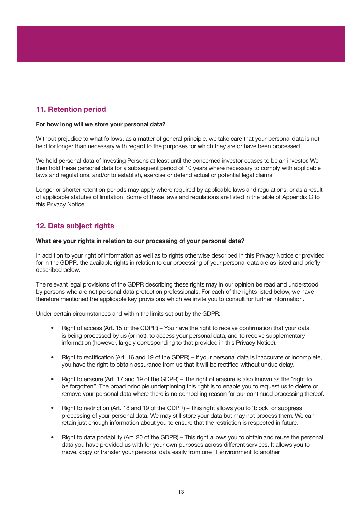#### 11. Retention period

#### For how long will we store your personal data?

Without prejudice to what follows, as a matter of general principle, we take care that your personal data is not held for longer than necessary with regard to the purposes for which they are or have been processed.

We hold personal data of Investing Persons at least until the concerned investor ceases to be an investor. We then hold these personal data for a subsequent period of 10 years where necessary to comply with applicable laws and regulations, and/or to establish, exercise or defend actual or potential legal claims.

Longer or shorter retention periods may apply where required by applicable laws and regulations, or as a result of applicable statutes of limitation. Some of these laws and regulations are listed in the table of Appendix C to this Privacy Notice.

#### 12. Data subject rights

#### What are your rights in relation to our processing of your personal data?

In addition to your right of information as well as to rights otherwise described in this Privacy Notice or provided for in the GDPR, the available rights in relation to our processing of your personal data are as listed and briefly described below.

The relevant legal provisions of the GDPR describing these rights may in our opinion be read and understood by persons who are not personal data protection professionals. For each of the rights listed below, we have therefore mentioned the applicable key provisions which we invite you to consult for further information.

Under certain circumstances and within the limits set out by the GDPR:

- Right of access (Art. 15 of the GDPR) You have the right to receive confirmation that your data is being processed by us (or not), to access your personal data, and to receive supplementary information (however, largely corresponding to that provided in this Privacy Notice).
- Right to rectification (Art. 16 and 19 of the GDPR) If your personal data is inaccurate or incomplete, you have the right to obtain assurance from us that it will be rectified without undue delay.
- Right to erasure (Art. 17 and 19 of the GDPR) The right of erasure is also known as the "right to be forgotten". The broad principle underpinning this right is to enable you to request us to delete or remove your personal data where there is no compelling reason for our continued processing thereof.
- Right to restriction (Art. 18 and 19 of the GDPR) This right allows you to 'block' or suppress processing of your personal data. We may still store your data but may not process them. We can retain just enough information about you to ensure that the restriction is respected in future.
- Right to data portability (Art. 20 of the GDPR) This right allows you to obtain and reuse the personal data you have provided us with for your own purposes across different services. It allows you to move, copy or transfer your personal data easily from one IT environment to another.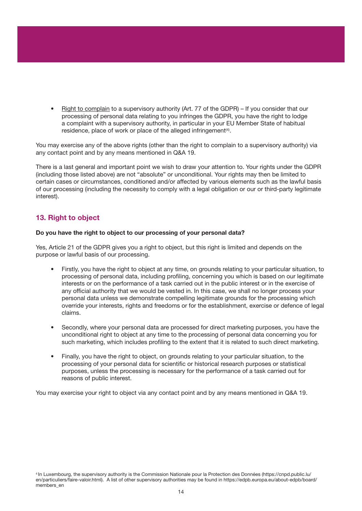Right to complain to a supervisory authority (Art. 77 of the GDPR) – If you consider that our processing of personal data relating to you infringes the GDPR, you have the right to lodge a complaint with a supervisory authority, in particular in your EU Member State of habitual residence, place of work or place of the alleged infringement<sup>(4)</sup>.

You may exercise any of the above rights (other than the right to complain to a supervisory authority) via any contact point and by any means mentioned in Q&A 19.

There is a last general and important point we wish to draw your attention to. Your rights under the GDPR (including those listed above) are not "absolute" or unconditional. Your rights may then be limited to certain cases or circumstances, conditioned and/or affected by various elements such as the lawful basis of our processing (including the necessity to comply with a legal obligation or our or third-party legitimate interest).

#### 13. Right to object

#### Do you have the right to object to our processing of your personal data?

Yes, Article 21 of the GDPR gives you a right to object, but this right is limited and depends on the purpose or lawful basis of our processing.

- Firstly, you have the right to object at any time, on grounds relating to your particular situation, to processing of personal data, including profiling, concerning you which is based on our legitimate interests or on the performance of a task carried out in the public interest or in the exercise of any official authority that we would be vested in. In this case, we shall no longer process your personal data unless we demonstrate compelling legitimate grounds for the processing which override your interests, rights and freedoms or for the establishment, exercise or defence of legal claims.
- Secondly, where your personal data are processed for direct marketing purposes, you have the unconditional right to object at any time to the processing of personal data concerning you for such marketing, which includes profiling to the extent that it is related to such direct marketing.
- Finally, you have the right to object, on grounds relating to your particular situation, to the processing of your personal data for scientific or historical research purposes or statistical purposes, unless the processing is necessary for the performance of a task carried out for reasons of public interest.

You may exercise your right to object via any contact point and by any means mentioned in Q&A 19.

4 In Luxembourg, the supervisory authority is the Commission Nationale pour la Protection des Données (https://cnpd.public.lu/ en/particuliers/faire-valoir.html). A list of other supervisory authorities may be found in https://edpb.europa.eu/about-edpb/board/ members\_en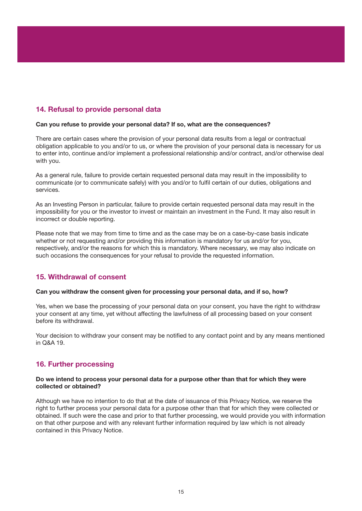#### 14. Refusal to provide personal data

#### Can you refuse to provide your personal data? If so, what are the consequences?

There are certain cases where the provision of your personal data results from a legal or contractual obligation applicable to you and/or to us, or where the provision of your personal data is necessary for us to enter into, continue and/or implement a professional relationship and/or contract, and/or otherwise deal with you.

As a general rule, failure to provide certain requested personal data may result in the impossibility to communicate (or to communicate safely) with you and/or to fulfil certain of our duties, obligations and services.

As an Investing Person in particular, failure to provide certain requested personal data may result in the impossibility for you or the investor to invest or maintain an investment in the Fund. It may also result in incorrect or double reporting.

Please note that we may from time to time and as the case may be on a case-by-case basis indicate whether or not requesting and/or providing this information is mandatory for us and/or for you, respectively, and/or the reasons for which this is mandatory. Where necessary, we may also indicate on such occasions the consequences for your refusal to provide the requested information.

#### 15. Withdrawal of consent

#### Can you withdraw the consent given for processing your personal data, and if so, how?

Yes, when we base the processing of your personal data on your consent, you have the right to withdraw your consent at any time, yet without affecting the lawfulness of all processing based on your consent before its withdrawal.

Your decision to withdraw your consent may be notified to any contact point and by any means mentioned in Q&A 19.

#### 16. Further processing

#### Do we intend to process your personal data for a purpose other than that for which they were collected or obtained?

Although we have no intention to do that at the date of issuance of this Privacy Notice, we reserve the right to further process your personal data for a purpose other than that for which they were collected or obtained. If such were the case and prior to that further processing, we would provide you with information on that other purpose and with any relevant further information required by law which is not already contained in this Privacy Notice.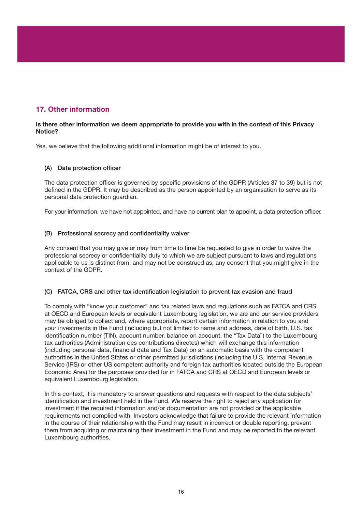#### 17. Other information

#### Is there other information we deem appropriate to provide you with in the context of this Privacy Notice?

Yes, we believe that the following additional information might be of interest to you.

#### (A) Data protection officer

The data protection officer is governed by specific provisions of the GDPR (Articles 37 to 39) but is not defined in the GDPR. It may be described as the person appointed by an organisation to serve as its personal data protection guardian.

For your information, we have not appointed, and have no current plan to appoint, a data protection officer.

#### (B) Professional secrecy and confidentiality waiver

Any consent that you may give or may from time to time be requested to give in order to waive the professional secrecy or confidentiality duty to which we are subject pursuant to laws and regulations applicable to us is distinct from, and may not be construed as, any consent that you might give in the context of the GDPR.

#### (C) FATCA, CRS and other tax identification legislation to prevent tax evasion and fraud

To comply with "know your customer" and tax related laws and regulations such as FATCA and CRS at OECD and European levels or equivalent Luxembourg legislation, we are and our service providers may be obliged to collect and, where appropriate, report certain information in relation to you and your investments in the Fund (including but not limited to name and address, date of birth, U.S. tax identification number (TIN), account number, balance on account, the "Tax Data") to the Luxembourg tax authorities (Administration des contributions directes) which will exchange this information (including personal data, financial data and Tax Data) on an automatic basis with the competent authorities in the United States or other permitted jurisdictions (including the U.S. Internal Revenue Service (IRS) or other US competent authority and foreign tax authorities located outside the European Economic Area) for the purposes provided for in FATCA and CRS at OECD and European levels or equivalent Luxembourg legislation.

In this context, it is mandatory to answer questions and requests with respect to the data subjects' identification and investment held in the Fund. We reserve the right to reject any application for investment if the required information and/or documentation are not provided or the applicable requirements not complied with. Investors acknowledge that failure to provide the relevant information in the course of their relationship with the Fund may result in incorrect or double reporting, prevent them from acquiring or maintaining their investment in the Fund and may be reported to the relevant Luxembourg authorities.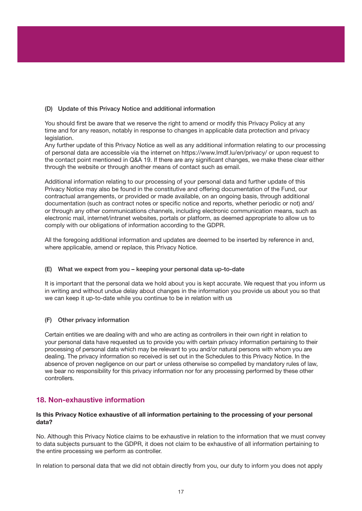#### (D) Update of this Privacy Notice and additional information

You should first be aware that we reserve the right to amend or modify this Privacy Policy at any time and for any reason, notably in response to changes in applicable data protection and privacy legislation.

Any further update of this Privacy Notice as well as any additional information relating to our processing of personal data are accessible via the internet on https://www.lmdf.lu/en/privacy/ or upon request to the contact point mentioned in Q&A 19. If there are any significant changes, we make these clear either through the website or through another means of contact such as email.

Additional information relating to our processing of your personal data and further update of this Privacy Notice may also be found in the constitutive and offering documentation of the Fund, our contractual arrangements, or provided or made available, on an ongoing basis, through additional documentation (such as contract notes or specific notice and reports, whether periodic or not) and/ or through any other communications channels, including electronic communication means, such as electronic mail, internet/intranet websites, portals or platform, as deemed appropriate to allow us to comply with our obligations of information according to the GDPR.

All the foregoing additional information and updates are deemed to be inserted by reference in and, where applicable, amend or replace, this Privacy Notice.

#### (E) What we expect from you – keeping your personal data up-to-date

It is important that the personal data we hold about you is kept accurate. We request that you inform us in writing and without undue delay about changes in the information you provide us about you so that we can keep it up-to-date while you continue to be in relation with us

#### (F) Other privacy information

Certain entities we are dealing with and who are acting as controllers in their own right in relation to your personal data have requested us to provide you with certain privacy information pertaining to their processing of personal data which may be relevant to you and/or natural persons with whom you are dealing. The privacy information so received is set out in the Schedules to this Privacy Notice. In the absence of proven negligence on our part or unless otherwise so compelled by mandatory rules of law, we bear no responsibility for this privacy information nor for any processing performed by these other controllers.

#### 18. Non-exhaustive information

#### Is this Privacy Notice exhaustive of all information pertaining to the processing of your personal data?

No. Although this Privacy Notice claims to be exhaustive in relation to the information that we must convey to data subjects pursuant to the GDPR, it does not claim to be exhaustive of all information pertaining to the entire processing we perform as controller.

In relation to personal data that we did not obtain directly from you, our duty to inform you does not apply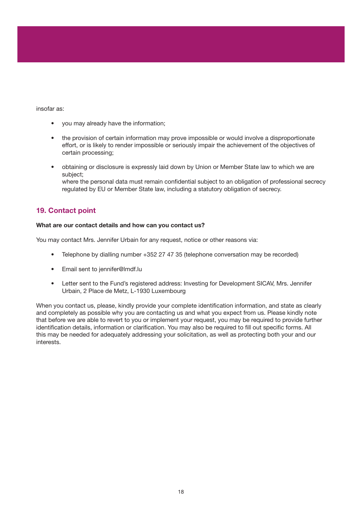#### insofar as:

- you may already have the information;
- the provision of certain information may prove impossible or would involve a disproportionate effort, or is likely to render impossible or seriously impair the achievement of the objectives of certain processing;
- obtaining or disclosure is expressly laid down by Union or Member State law to which we are subject; where the personal data must remain confidential subject to an obligation of professional secrecy regulated by EU or Member State law, including a statutory obligation of secrecy.

#### 19. Contact point

#### What are our contact details and how can you contact us?

You may contact Mrs. Jennifer Urbain for any request, notice or other reasons via:

- Telephone by dialling number +352 27 47 35 (telephone conversation may be recorded)
- Email sent to jennifer@lmdf.lu
- Letter sent to the Fund's registered address: Investing for Development SICAV, Mrs. Jennifer Urbain, 2 Place de Metz, L-1930 Luxembourg

When you contact us, please, kindly provide your complete identification information, and state as clearly and completely as possible why you are contacting us and what you expect from us. Please kindly note that before we are able to revert to you or implement your request, you may be required to provide further identification details, information or clarification. You may also be required to fill out specific forms. All this may be needed for adequately addressing your solicitation, as well as protecting both your and our interests.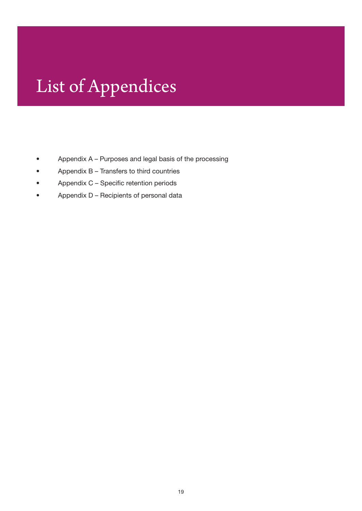# List of Appendices

- • Appendix A Purposes and legal basis of the processing
- • Appendix B Transfers to third countries
- Appendix C Specific retention periods
- • Appendix D Recipients of personal data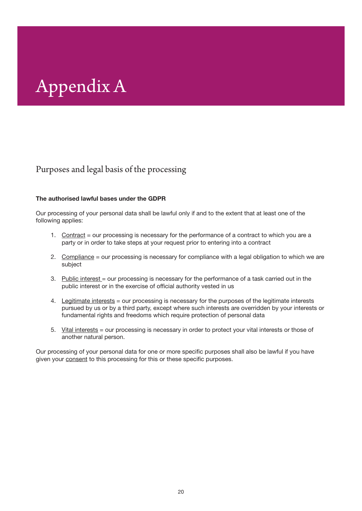# Appendix A

### Purposes and legal basis of the processing

#### The authorised lawful bases under the GDPR

Our processing of your personal data shall be lawful only if and to the extent that at least one of the following applies:

- 1. Contract = our processing is necessary for the performance of a contract to which you are a party or in order to take steps at your request prior to entering into a contract
- 2. Compliance = our processing is necessary for compliance with a legal obligation to which we are subject
- 3. Public interest = our processing is necessary for the performance of a task carried out in the public interest or in the exercise of official authority vested in us
- 4. Legitimate interests = our processing is necessary for the purposes of the legitimate interests pursued by us or by a third party, except where such interests are overridden by your interests or fundamental rights and freedoms which require protection of personal data
- 5. Vital interests = our processing is necessary in order to protect your vital interests or those of another natural person.

Our processing of your personal data for one or more specific purposes shall also be lawful if you have given your consent to this processing for this or these specific purposes.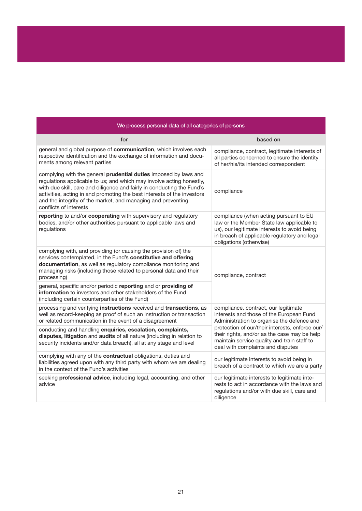| We process personal data of all categories of persons                                                                                                                                                                                                                                                                                                                                   |                                                                                                                                                                                                                                                                                                                       |  |
|-----------------------------------------------------------------------------------------------------------------------------------------------------------------------------------------------------------------------------------------------------------------------------------------------------------------------------------------------------------------------------------------|-----------------------------------------------------------------------------------------------------------------------------------------------------------------------------------------------------------------------------------------------------------------------------------------------------------------------|--|
| for                                                                                                                                                                                                                                                                                                                                                                                     | based on                                                                                                                                                                                                                                                                                                              |  |
| general and global purpose of communication, which involves each<br>respective identification and the exchange of information and docu-<br>ments among relevant parties                                                                                                                                                                                                                 | compliance, contract, legitimate interests of<br>all parties concerned to ensure the identity<br>of her/his/its intended correspondent                                                                                                                                                                                |  |
| complying with the general prudential duties imposed by laws and<br>regulations applicable to us; and which may involve acting honestly,<br>with due skill, care and diligence and fairly in conducting the Fund's<br>activities, acting in and promoting the best interests of the investors<br>and the integrity of the market, and managing and preventing<br>conflicts of interests | compliance                                                                                                                                                                                                                                                                                                            |  |
| reporting to and/or cooperating with supervisory and regulatory<br>bodies, and/or other authorities pursuant to applicable laws and<br>regulations                                                                                                                                                                                                                                      | compliance (when acting pursuant to EU<br>law or the Member State law applicable to<br>us), our legitimate interests to avoid being<br>in breach of applicable regulatory and legal<br>obligations (otherwise)                                                                                                        |  |
| complying with, and providing (or causing the provision of) the<br>services contemplated, in the Fund's constitutive and offering<br>documentation, as well as regulatory compliance monitoring and<br>managing risks (including those related to personal data and their<br>processing)                                                                                                | compliance, contract                                                                                                                                                                                                                                                                                                  |  |
| general, specific and/or periodic reporting and or providing of<br>information to investors and other stakeholders of the Fund<br>(including certain counterparties of the Fund)                                                                                                                                                                                                        |                                                                                                                                                                                                                                                                                                                       |  |
| processing and verifying instructions received and transactions, as<br>well as record-keeping as proof of such an instruction or transaction<br>or related communication in the event of a disagreement                                                                                                                                                                                 | compliance, contract, our legitimate<br>interests and those of the European Fund<br>Administration to organise the defence and<br>protection of our/their interests, enforce our/<br>their rights, and/or as the case may be help<br>maintain service quality and train staff to<br>deal with complaints and disputes |  |
| conducting and handling enquiries, escalation, complaints,<br>disputes, litigation and audits of all nature (including in relation to<br>security incidents and/or data breach), all at any stage and level                                                                                                                                                                             |                                                                                                                                                                                                                                                                                                                       |  |
| complying with any of the contractual obligations, duties and<br>liabilities agreed upon with any third party with whom we are dealing<br>in the context of the Fund's activities                                                                                                                                                                                                       | our legitimate interests to avoid being in<br>breach of a contract to which we are a party                                                                                                                                                                                                                            |  |
| seeking professional advice, including legal, accounting, and other<br>advice                                                                                                                                                                                                                                                                                                           | our legitimate interests to legitimate inte-<br>rests to act in accordance with the laws and<br>regulations and/or with due skill, care and<br>diligence                                                                                                                                                              |  |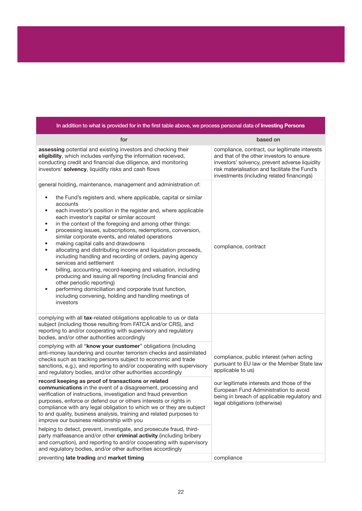| In addition to what is provided for in the first table above, we process personal data of Investing Persons                                                                                                                                                                                                                                                                                                                                                                                                                                                                                                                                                                                                                                                                                                                                                                                                                                                                                                              |                                                                                                                                                                                                                                               |  |
|--------------------------------------------------------------------------------------------------------------------------------------------------------------------------------------------------------------------------------------------------------------------------------------------------------------------------------------------------------------------------------------------------------------------------------------------------------------------------------------------------------------------------------------------------------------------------------------------------------------------------------------------------------------------------------------------------------------------------------------------------------------------------------------------------------------------------------------------------------------------------------------------------------------------------------------------------------------------------------------------------------------------------|-----------------------------------------------------------------------------------------------------------------------------------------------------------------------------------------------------------------------------------------------|--|
| for                                                                                                                                                                                                                                                                                                                                                                                                                                                                                                                                                                                                                                                                                                                                                                                                                                                                                                                                                                                                                      | based on                                                                                                                                                                                                                                      |  |
| assessing potential and existing investors and checking their<br>eligibility, which includes verifying the information received,<br>conducting credit and financial due diligence, and monitoring<br>investors' solvency, liquidity risks and cash flows                                                                                                                                                                                                                                                                                                                                                                                                                                                                                                                                                                                                                                                                                                                                                                 | compliance, contract, our legitimate interests<br>and that of the other investors to ensure<br>investors' solvency, prevent adverse liquidity<br>risk materialisation and facilitate the Fund's<br>investments (including related financings) |  |
| general holding, maintenance, management and administration of:<br>the Fund's registers and, where applicable, capital or similar<br>$\bullet$<br>accounts<br>each investor's position in the register and, where applicable<br>$\bullet$<br>each investor's capital or similar account<br>in the context of the foregoing and among other things:<br>٠<br>processing issues, subscriptions, redemptions, conversion,<br>$\bullet$<br>similar corporate events, and related operations<br>making capital calls and drawdowns<br>$\bullet$<br>allocating and distributing income and liquidation proceeds,<br>$\bullet$<br>including handling and recording of orders, paying agency<br>services and settlement<br>billing, accounting, record-keeping and valuation, including<br>producing and issuing all reporting (including financial and<br>other periodic reporting)<br>performing domiciliation and corporate trust function,<br>$\bullet$<br>including convening, holding and handling meetings of<br>investors | compliance, contract                                                                                                                                                                                                                          |  |
| complying with all tax-related obligations applicable to us or data<br>subject (including those resulting from FATCA and/or CRS), and<br>reporting to and/or cooperating with supervisory and regulatory<br>bodies, and/or other authorities accordingly                                                                                                                                                                                                                                                                                                                                                                                                                                                                                                                                                                                                                                                                                                                                                                 |                                                                                                                                                                                                                                               |  |
| complying with all "know your customer" obligations (including<br>anti-money laundering and counter terrorism checks and assimilated<br>checks such as tracking persons subject to economic and trade<br>sanctions, e.g.), and reporting to and/or cooperating with supervisory<br>and regulatory bodies, and/or other authorities accordingly                                                                                                                                                                                                                                                                                                                                                                                                                                                                                                                                                                                                                                                                           | compliance, public interest (when acting<br>pursuant to EU law or the Member State law<br>applicable to us)                                                                                                                                   |  |
| record keeping as proof of transactions or related<br>communications in the event of a disagreement, processing and<br>verification of instructions, investigation and fraud prevention<br>purposes, enforce or defend our or others interests or rights in<br>compliance with any legal obligation to which we or they are subject<br>to and quality, business analysis, training and related purposes to<br>improve our business relationship with you                                                                                                                                                                                                                                                                                                                                                                                                                                                                                                                                                                 | our legitimate interests and those of the<br>European Fund Administration to avoid<br>being in breach of applicable regulatory and<br>legal obligations (otherwise)                                                                           |  |
| helping to detect, prevent, investigate, and prosecute fraud, third-<br>party malfeasance and/or other criminal activity (including bribery<br>and corruption), and reporting to and/or cooperating with supervisory<br>and regulatory bodies, and/or other authorities accordingly                                                                                                                                                                                                                                                                                                                                                                                                                                                                                                                                                                                                                                                                                                                                      |                                                                                                                                                                                                                                               |  |
| preventing late trading and market timing                                                                                                                                                                                                                                                                                                                                                                                                                                                                                                                                                                                                                                                                                                                                                                                                                                                                                                                                                                                | compliance                                                                                                                                                                                                                                    |  |

#### 22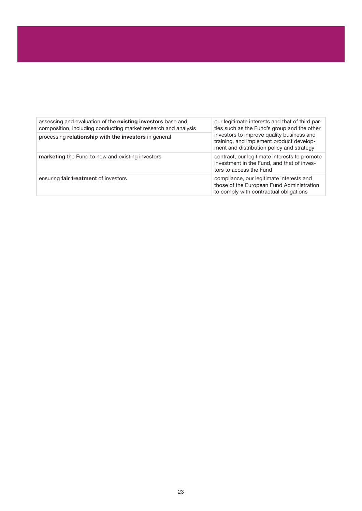| assessing and evaluation of the existing investors base and<br>composition, including conducting market research and analysis | our legitimate interests and that of third par-<br>ties such as the Fund's group and the other                                     |
|-------------------------------------------------------------------------------------------------------------------------------|------------------------------------------------------------------------------------------------------------------------------------|
| processing relationship with the investors in general                                                                         | investors to improve quality business and<br>training, and implement product develop-<br>ment and distribution policy and strategy |
| marketing the Fund to new and existing investors                                                                              | contract, our legitimate interests to promote<br>investment in the Fund, and that of inves-<br>tors to access the Fund             |
| ensuring fair treatment of investors                                                                                          | compliance, our legitimate interests and<br>those of the European Fund Administration<br>to comply with contractual obligations    |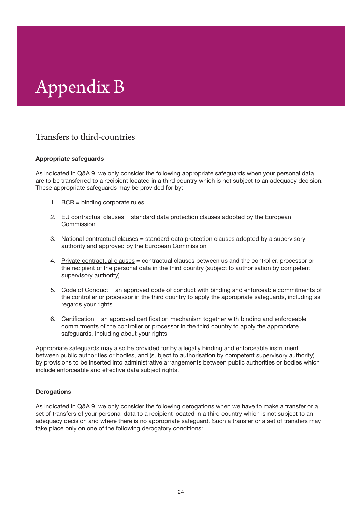# Appendix B

### Transfers to third-countries

#### Appropriate safeguards

As indicated in Q&A 9, we only consider the following appropriate safeguards when your personal data are to be transferred to a recipient located in a third country which is not subject to an adequacy decision. These appropriate safeguards may be provided for by:

- 1. BCR = binding corporate rules
- 2. EU contractual clauses = standard data protection clauses adopted by the European **Commission**
- 3. National contractual clauses = standard data protection clauses adopted by a supervisory authority and approved by the European Commission
- 4. Private contractual clauses = contractual clauses between us and the controller, processor or the recipient of the personal data in the third country (subject to authorisation by competent supervisory authority)
- 5. Code of Conduct = an approved code of conduct with binding and enforceable commitments of the controller or processor in the third country to apply the appropriate safeguards, including as regards your rights
- 6. Certification = an approved certification mechanism together with binding and enforceable commitments of the controller or processor in the third country to apply the appropriate safeguards, including about your rights

Appropriate safeguards may also be provided for by a legally binding and enforceable instrument between public authorities or bodies, and (subject to authorisation by competent supervisory authority) by provisions to be inserted into administrative arrangements between public authorities or bodies which include enforceable and effective data subject rights.

#### **Derogations**

As indicated in Q&A 9, we only consider the following derogations when we have to make a transfer or a set of transfers of your personal data to a recipient located in a third country which is not subject to an adequacy decision and where there is no appropriate safeguard. Such a transfer or a set of transfers may take place only on one of the following derogatory conditions: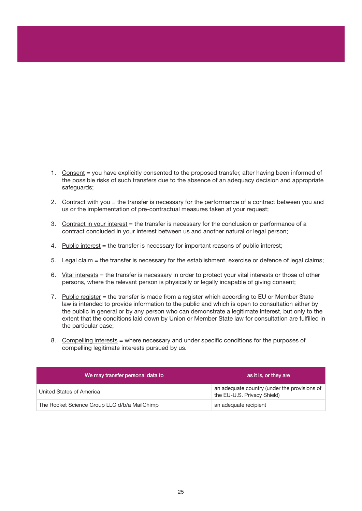- 1. Consent = you have explicitly consented to the proposed transfer, after having been informed of the possible risks of such transfers due to the absence of an adequacy decision and appropriate safeguards;
- 2. Contract with you = the transfer is necessary for the performance of a contract between you and us or the implementation of pre-contractual measures taken at your request;
- 3. Contract in your interest = the transfer is necessary for the conclusion or performance of a contract concluded in your interest between us and another natural or legal person;
- 4. Public interest = the transfer is necessary for important reasons of public interest;
- 5. Legal claim = the transfer is necessary for the establishment, exercise or defence of legal claims;
- 6. Vital interests = the transfer is necessary in order to protect your vital interests or those of other persons, where the relevant person is physically or legally incapable of giving consent;
- 7. Public register = the transfer is made from a register which according to EU or Member State law is intended to provide information to the public and which is open to consultation either by the public in general or by any person who can demonstrate a legitimate interest, but only to the extent that the conditions laid down by Union or Member State law for consultation are fulfilled in the particular case;
- 8. Compelling interests = where necessary and under specific conditions for the purposes of compelling legitimate interests pursued by us.

| We may transfer personal data to             | as it is, or they are                                                       |
|----------------------------------------------|-----------------------------------------------------------------------------|
| United States of America                     | an adequate country (under the provisions of<br>the EU-U.S. Privacy Shield) |
| The Rocket Science Group LLC d/b/a MailChimp | an adequate recipient                                                       |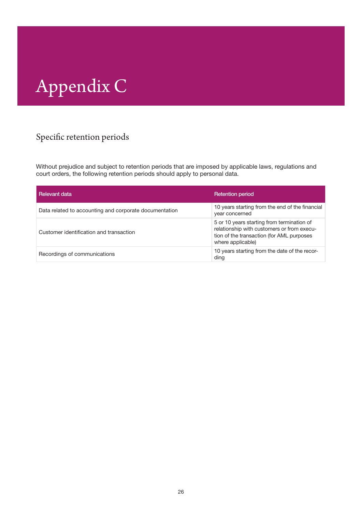# Appendix C

### Specific retention periods

Without prejudice and subject to retention periods that are imposed by applicable laws, regulations and court orders, the following retention periods should apply to personal data.

| Relevant data                                          | <b>Retention period</b>                                                                                                                                    |
|--------------------------------------------------------|------------------------------------------------------------------------------------------------------------------------------------------------------------|
| Data related to accounting and corporate documentation | 10 years starting from the end of the financial<br>year concerned                                                                                          |
| Customer identification and transaction                | 5 or 10 years starting from termination of<br>relationship with customers or from execu-<br>tion of the transaction (for AML purposes<br>where applicable) |
| Recordings of communications                           | 10 years starting from the date of the recor-<br>ding                                                                                                      |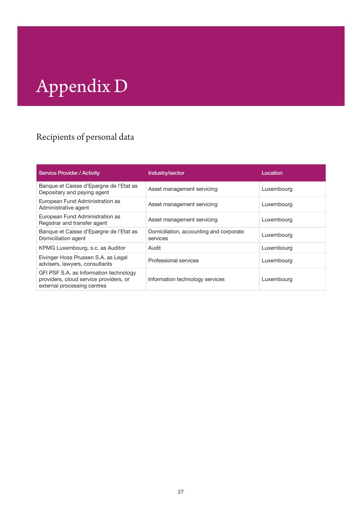# Appendix D

### Recipients of personal data

| <b>Service Provider / Activity</b>                                                                              | Industry/sector                                     | Location   |
|-----------------------------------------------------------------------------------------------------------------|-----------------------------------------------------|------------|
| Banque et Caisse d'Epargne de l'Etat as<br>Depositary and paying agent                                          | Asset management servicing                          | Luxembourg |
| European Fund Administration as<br>Administrative agent                                                         | Asset management servicing                          | Luxembourg |
| European Fund Administration as<br>Registrar and transfer agent                                                 | Asset management servicing                          | Luxembourg |
| Banque et Caisse d'Epargne de l'Etat as<br>Domiciliation agent                                                  | Domiciliation, accounting and corporate<br>services | Luxembourg |
| KPMG Luxembourg, s.c. as Auditor                                                                                | Audit                                               | Luxembourg |
| Elvinger Hoss Prussen S.A. as Legal<br>advisers, lawyers, consultants                                           | Professional services                               | Luxembourg |
| GFI PSF S.A. as Information technology<br>providers, cloud service providers, or<br>external processing centres | Information technology services                     | Luxembourg |